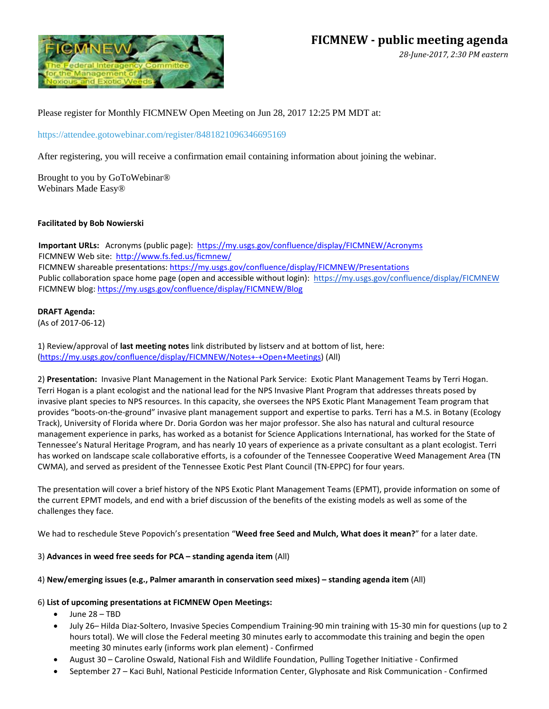

*28-June-2017, 2:30 PM eastern* 

Please register for Monthly FICMNEW Open Meeting on Jun 28, 2017 12:25 PM MDT at:

<https://attendee.gotowebinar.com/register/8481821096346695169>

After registering, you will receive a confirmation email containing information about joining the webinar.

Brought to you by GoToWebinar® Webinars Made Easy®

## **Facilitated by Bob Nowierski**

**Important URLs:** Acronyms (public page): <https://my.usgs.gov/confluence/display/FICMNEW/Acronyms> FICMNEW Web site:<http://www.fs.fed.us/ficmnew/> FICMNEW shareable presentations[: https://my.usgs.gov/confluence/display/FICMNEW/Presentations](https://my.usgs.gov/confluence/display/FICMNEW/Presentations) Public collaboration space home page (open and accessible without login): <https://my.usgs.gov/confluence/display/FICMNEW> FICMNEW blog: <https://my.usgs.gov/confluence/display/FICMNEW/Blog>

### **DRAFT Agenda:**

(As of 2017-06-12)

1) Review/approval of **last meeting notes** link distributed by listserv and at bottom of list, here: [\(https://my.usgs.gov/confluence/display/FICMNEW/Notes+-+Open+Meetings\)](https://my.usgs.gov/confluence/display/FICMNEW/Notes+-+Open+Meetings) (All)

2) **Presentation:** Invasive Plant Management in the National Park Service: Exotic Plant Management Teams by Terri Hogan. Terri Hogan is a plant ecologist and the national lead for the NPS Invasive Plant Program that addresses threats posed by invasive plant species to NPS resources. In this capacity, she oversees the NPS Exotic Plant Management Team program that provides "boots-on-the-ground" invasive plant management support and expertise to parks. Terri has a M.S. in Botany (Ecology Track), University of Florida where Dr. Doria Gordon was her major professor. She also has natural and cultural resource management experience in parks, has worked as a botanist for Science Applications International, has worked for the State of Tennessee's Natural Heritage Program, and has nearly 10 years of experience as a private consultant as a plant ecologist. Terri has worked on landscape scale collaborative efforts, is a cofounder of the Tennessee Cooperative Weed Management Area (TN CWMA), and served as president of the Tennessee Exotic Pest Plant Council (TN-EPPC) for four years.

The presentation will cover a brief history of the NPS Exotic Plant Management Teams (EPMT), provide information on some of the current EPMT models, and end with a brief discussion of the benefits of the existing models as well as some of the challenges they face.

We had to reschedule Steve Popovich's presentation "**Weed free Seed and Mulch, What does it mean?**" for a later date.

## 3) **Advances in weed free seeds for PCA – standing agenda item** (All)

## 4) **New/emerging issues (e.g., Palmer amaranth in conservation seed mixes) – standing agenda item** (All)

## 6) **List of upcoming presentations at FICMNEW Open Meetings:**

- June 28 TBD
- July 26– Hilda Diaz-Soltero, Invasive Species Compendium Training-90 min training with 15-30 min for questions (up to 2 hours total). We will close the Federal meeting 30 minutes early to accommodate this training and begin the open meeting 30 minutes early (informs work plan element) - Confirmed
- August 30 Caroline Oswald, National Fish and Wildlife Foundation, Pulling Together Initiative Confirmed
- September 27 Kaci Buhl, National Pesticide Information Center, Glyphosate and Risk Communication Confirmed